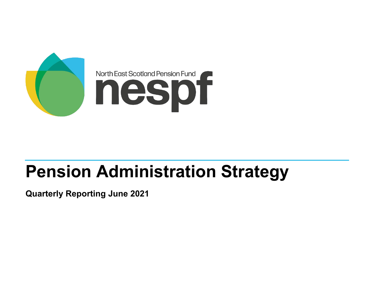

# **Pension Administration Strategy**

**Quarterly Reporting June 2021**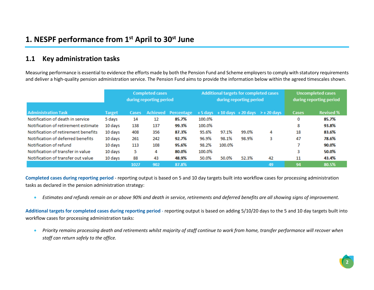### **1.1 Key administration tasks**

Measuring performance is essential to evidence the efforts made by both the Pension Fund and Scheme employers to comply with statutory requirements and deliver a high-quality pension administration service. The Pension Fund aims to provide the information below within the agreed timescales shown.

|                                     |               | <b>Completed cases</b><br>during reporting period |          |            |        | Additional targets for completed cases | during reporting period | <b>Uncompleted cases</b><br>during reporting period |              |                  |
|-------------------------------------|---------------|---------------------------------------------------|----------|------------|--------|----------------------------------------|-------------------------|-----------------------------------------------------|--------------|------------------|
| <b>Administration Task</b>          | <b>Target</b> | Cases                                             | Achieved | Percentage |        |                                        |                         | $+5$ days $+10$ days $+20$ days $\geq +20$ days     | <b>Cases</b> | <b>Revised %</b> |
| Notification of death in service    | 5 days        | 14                                                | 12       | 85.7%      | 100.0% |                                        |                         |                                                     | 0            | 85.7%            |
| Notification of retirement estimate | 10 days       | 138                                               | 137      | 99.3%      | 100.0% |                                        |                         |                                                     | 8            | 93.8%            |
| Notification of retirement benefits | 10 days       | 408                                               | 356      | 87.3%      | 95.6%  | 97.1%                                  | 99.0%                   | 4                                                   | 18           | 83.6%            |
| Notification of deferred benefits   | 10 days       | 261                                               | 242      | 92.7%      | 96.9%  | 98.1%                                  | 98.9%                   | 3                                                   | 47           | 78.6%            |
| Notification of refund              | 10 days       | 113                                               | 108      | 95.6%      | 98.2%  | 100.0%                                 |                         |                                                     |              | 90.0%            |
| Notification of transfer in value   | 10 days       | 5                                                 | 4        | 80.0%      | 100.0% |                                        |                         |                                                     | 3            | 50.0%            |
| Notification of transfer out value  | 10 days       | 88                                                | 43       | 48.9%      | 50.0%  | 50.0%                                  | 52.3%                   | 42                                                  | 11           | 43.4%            |
|                                     |               | 1027                                              | 902      | 87.8%      |        |                                        |                         | 49                                                  | 94           | 80.5%            |

**Completed cases during reporting period** - reporting output is based on 5 and 10 day targets built into workflow cases for processing administration tasks as declared in the pension administration strategy:

• *Estimates and refunds remain on or above 90% and death in service, retirements and deferred benefits are all showing signs of improvement.*

**Additional targets for completed cases during reporting period** - reporting output is based on adding 5/10/20 days to the 5 and 10 day targets built into workflow cases for processing administration tasks:

• *Priority remains processing death and retirements whilst majority of staff continue to work from home, transfer performance will recover when staff can return safely to the office.*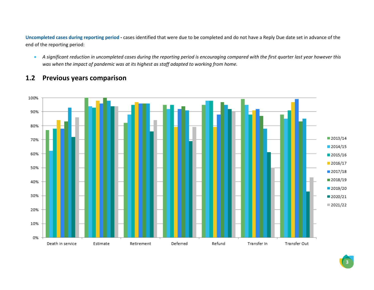**Uncompleted cases during reporting period -** cases identified that were due to be completed and do not have a Reply Due date set in advance of the end of the reporting period:

• *A significant reduction in uncompleted cases during the reporting period is encouraging compared with the first quarter last year however this was when the impact of pandemic was at its highest as staff adapted to working from home.*

#### **1.2 Previous years comparison**

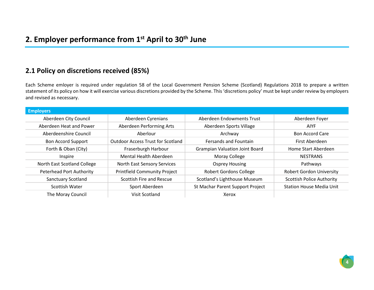#### **2.1 Policy on discretions received (85%)**

Each Scheme emloyer is required under regulation 58 of the Local Government Pension Scheme (Scotland) Regulations 2018 to prepare a written statement of its policy on how it will exercise various discretions provided by the Scheme. This 'discretions policy' must be kept under review by employers and revised as necessary.

| <b>Employers</b>                |                                          |                                       |                                  |
|---------------------------------|------------------------------------------|---------------------------------------|----------------------------------|
| Aberdeen City Council           | Aberdeen Cyrenians                       | Aberdeen Endowments Trust             | Aberdeen Foyer                   |
| Aberdeen Heat and Power         | Aberdeen Performing Arts                 | Aberdeen Sports Village               | <b>AIYF</b>                      |
| Aberdeenshire Council           | Aberlour                                 | Archway                               | <b>Bon Accord Care</b>           |
| <b>Bon Accord Support</b>       | <b>Outdoor Access Trust for Scotland</b> | <b>Fersands and Fountain</b>          | First Aberdeen                   |
| Forth & Oban (City)             | Fraserburgh Harbour                      | <b>Grampian Valuation Joint Board</b> | Home Start Aberdeen              |
| Inspire                         | Mental Health Aberdeen                   | Moray College                         | <b>NESTRANS</b>                  |
| North East Scotland College     | North East Sensory Services              | <b>Osprey Housing</b>                 | Pathways                         |
| <b>Peterhead Port Authority</b> | <b>Printfield Community Project</b>      | <b>Robert Gordons College</b>         | <b>Robert Gordon University</b>  |
| <b>Sanctuary Scotland</b>       | Scottish Fire and Rescue                 | Scotland's Lighthouse Museum          | <b>Scottish Police Authority</b> |
| Scottish Water                  | Sport Aberdeen                           | St Machar Parent Support Project      | <b>Station House Media Unit</b>  |
| The Moray Council               | Visit Scotland                           | Xerox                                 |                                  |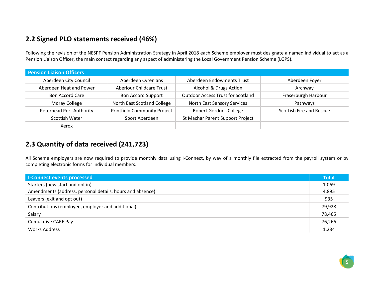# **2.2 Signed PLO statements received (46%)**

Following the revision of the NESPF Pension Administration Strategy in April 2018 each Scheme employer must designate a named individual to act as a Pension Liaison Officer, the main contact regarding any aspect of administering the Local Government Pension Scheme (LGPS).

| <b>Pension Liaison Officers</b> |                                     |                                          |                          |
|---------------------------------|-------------------------------------|------------------------------------------|--------------------------|
| Aberdeen City Council           | Aberdeen Cyrenians                  | Aberdeen Endowments Trust                | Aberdeen Foyer           |
| Aberdeen Heat and Power         | <b>Aberlour Childcare Trust</b>     | Alcohol & Drugs Action                   | Archway                  |
| <b>Bon Accord Care</b>          | <b>Bon Accord Support</b>           | <b>Outdoor Access Trust for Scotland</b> | Fraserburgh Harbour      |
| Moray College                   | North East Scotland College         | North East Sensory Services              | Pathways                 |
| <b>Peterhead Port Authority</b> | <b>Printfield Community Project</b> | <b>Robert Gordons College</b>            | Scottish Fire and Rescue |
| Scottish Water                  | Sport Aberdeen                      | St Machar Parent Support Project         |                          |
| Xerox                           |                                     |                                          |                          |

## **2.3 Quantity of data received (241,723)**

All Scheme employers are now required to provide monthly data using I-Connect, by way of a monthly file extracted from the payroll system or by completing electronic forms for individual members.

| <b>I-Connect events processed</b>                         | <b>Total</b> |
|-----------------------------------------------------------|--------------|
| Starters (new start and opt in)                           | 1,069        |
| Amendments (address, personal details, hours and absence) | 4,895        |
| Leavers (exit and opt out)                                | 935          |
| Contributions (employee, employer and additional)         | 79,928       |
| Salary                                                    | 78,465       |
| <b>Cumulative CARE Pay</b>                                | 76,266       |
| Works Address                                             | 1,234        |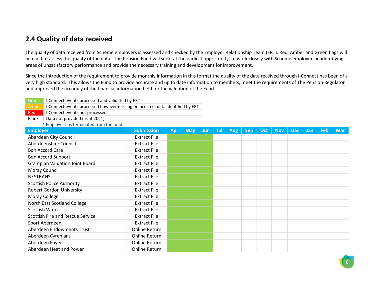### **2.4 Quality of data received**

The quality of data received from Scheme employers is assessed and checked by the Employer Relationship Team (ERT). Red, Amber and Green flags will be used to assess the quality of the data. The Pension Fund will seek, at the earliest opportunity, to work closely with Scheme employers in identifying areas of unsatisfactory performance and provide the necessary training and development for improvement.

Since the introduction of the requirement to provide monthly information in this format the quality of the data received through i-Connect has been of a very high standard. This allows the Fund to provide accurate and up to date information to members, meet the requirements of The Pension Regulator and improved the accuracy of the financial information held for the valuation of the Fund.

| I-Connect events processed and validated by ERT<br>Green                                |                      |     |            |            |     |            |            |     |            |            |            |            |            |
|-----------------------------------------------------------------------------------------|----------------------|-----|------------|------------|-----|------------|------------|-----|------------|------------|------------|------------|------------|
| I-Connect events processed however missing or incorrect data identified by ERT<br>Amber |                      |     |            |            |     |            |            |     |            |            |            |            |            |
| I-Connect events not processed<br>Red                                                   |                      |     |            |            |     |            |            |     |            |            |            |            |            |
| Data not provided (as at 2021)<br><b>Blank</b>                                          |                      |     |            |            |     |            |            |     |            |            |            |            |            |
| * Employer has terminated from the fund                                                 |                      |     |            |            |     |            |            |     |            |            |            |            |            |
| <b>Employer</b>                                                                         | <b>Submission</b>    | Apr | <b>May</b> | <b>Jun</b> | Jul | <b>Aug</b> | <b>Sep</b> | Oct | <b>Nov</b> | <b>Dec</b> | <b>Jan</b> | <b>Feb</b> | <b>Mar</b> |
| Aberdeen City Council                                                                   | <b>Extract File</b>  |     |            |            |     |            |            |     |            |            |            |            |            |
| Aberdeenshire Council                                                                   | <b>Extract File</b>  |     |            |            |     |            |            |     |            |            |            |            |            |
| <b>Bon Accord Care</b>                                                                  | <b>Extract File</b>  |     |            |            |     |            |            |     |            |            |            |            |            |
| <b>Bon Accord Support</b>                                                               | <b>Extract File</b>  |     |            |            |     |            |            |     |            |            |            |            |            |
| <b>Grampian Valuation Joint Board</b>                                                   | <b>Extract File</b>  |     |            |            |     |            |            |     |            |            |            |            |            |
| Moray Council                                                                           | <b>Extract File</b>  |     |            |            |     |            |            |     |            |            |            |            |            |
| <b>NESTRANS</b>                                                                         | <b>Extract File</b>  |     |            |            |     |            |            |     |            |            |            |            |            |
| <b>Scottish Police Authority</b>                                                        | <b>Extract File</b>  |     |            |            |     |            |            |     |            |            |            |            |            |
| <b>Robert Gordon University</b>                                                         | <b>Extract File</b>  |     |            |            |     |            |            |     |            |            |            |            |            |
| Moray College                                                                           | <b>Extract File</b>  |     |            |            |     |            |            |     |            |            |            |            |            |
| North East Scotland College                                                             | <b>Extract File</b>  |     |            |            |     |            |            |     |            |            |            |            |            |
| Scottish Water                                                                          | <b>Extract File</b>  |     |            |            |     |            |            |     |            |            |            |            |            |
| Scottish Fire and Rescue Service                                                        | <b>Extract File</b>  |     |            |            |     |            |            |     |            |            |            |            |            |
| Sport Aberdeen                                                                          | <b>Extract File</b>  |     |            |            |     |            |            |     |            |            |            |            |            |
| Aberdeen Endowments Trust                                                               | <b>Online Return</b> |     |            |            |     |            |            |     |            |            |            |            |            |
| Aberdeen Cyrenians                                                                      | Online Return        |     |            |            |     |            |            |     |            |            |            |            |            |
| Aberdeen Foyer                                                                          | <b>Online Return</b> |     |            |            |     |            |            |     |            |            |            |            |            |
| Aberdeen Heat and Power                                                                 | <b>Online Return</b> |     |            |            |     |            |            |     |            |            |            |            |            |